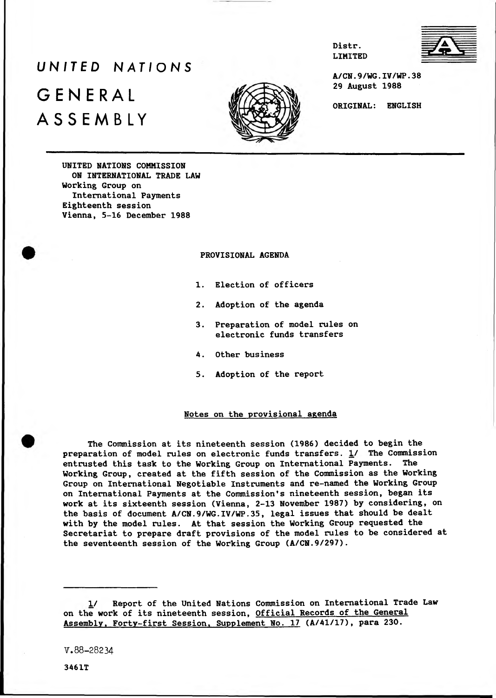# *UNITED NATIONS* GENERAL ASSEMBLY





**A/CN.9/WG.IV/WP.38 29 August 1988**

**Distr. LIMITED**

**ORIGINAL: ENGLISH**

**UNITED NATIONS COMMISSION ON INTERNATIONAL TRADE LAW Working Group on International Payments Eighteenth session Vienna, 5-16 December 1988**

# **PROVISIONAL AGENDA**

- **1. Election of officers**
- **2. Adoption of the agenda**
- **3. Preparation of model rules on electronic funds transfers**
- **4. Other business**
- **5. Adoption of the report**

#### **Notes on the provisional agenda**

**The Commission at its nineteenth session (1986) decided to begin the preparation of model rules on electronic funds transfers. 1/ The Commission entrusted this task to the Working Group on International Payments. The Working Group, created at the fifth session of the Commission as the Working Group on International Negotiable Instruments and re-named the Working Group on International Payments at the Commission's nineteenth session, began its work at its sixteenth session (Vienna, 2-13 November 1987) by considering, on the basis of document A/CN.9/WG.IV/WP.35, legal issues that should be dealt with by the model rules. At that session the Working Group requested the Secretariat to prepare draft provisions of the model rules to be considered at the seventeenth session of the Working Group (A/CN.9/297).**

**1/ Report of the United Nations Commission on International Trade Law on the work of its nineteenth session, Official Records of the General Assembly, Forty-first Session. Supplement No. 17 (A/41/17), para 230.**

V.88-28234